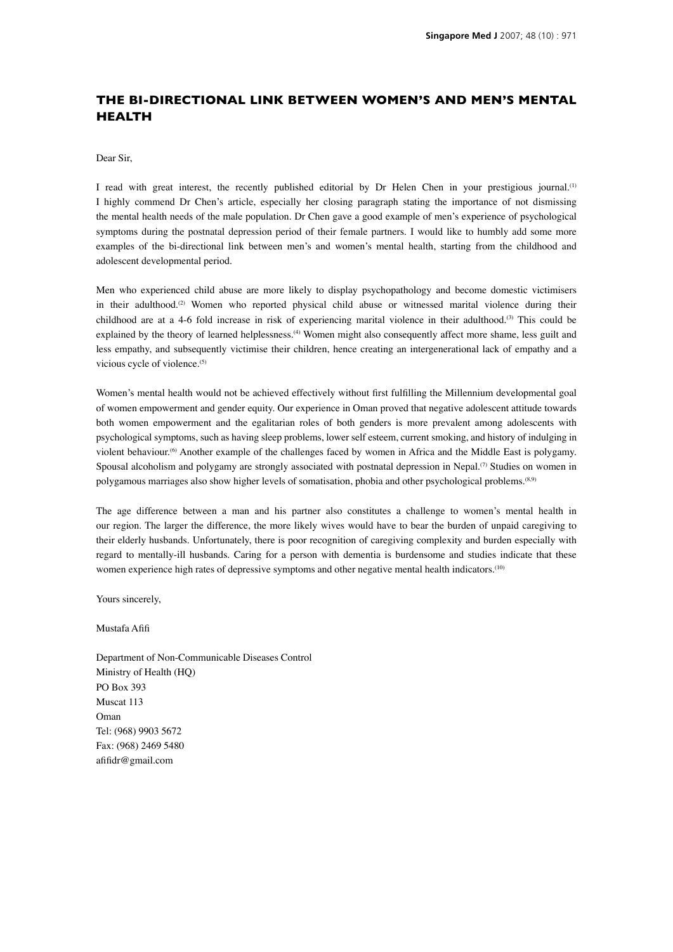## **THE BI-DIRECTIONAL LINK BETWEEN WOMEN'S AND MEN'S MENTAL HEALTH**

## Dear Sir,

I read with great interest, the recently published editorial by Dr Helen Chen in your prestigious journal.<sup>(1)</sup> I highly commend Dr Chen's article, especially her closing paragraph stating the importance of not dismissing the mental health needs of the male population. Dr Chen gave a good example of men's experience of psychological symptoms during the postnatal depression period of their female partners. I would like to humbly add some more examples of the bi-directional link between men's and women's mental health, starting from the childhood and adolescent developmental period.

Men who experienced child abuse are more likely to display psychopathology and become domestic victimisers in their adulthood.<sup>(2)</sup> Women who reported physical child abuse or witnessed marital violence during their childhood are at a 4-6 fold increase in risk of experiencing marital violence in their adulthood.(3) This could be explained by the theory of learned helplessness.<sup>(4)</sup> Women might also consequently affect more shame, less guilt and less empathy, and subsequently victimise their children, hence creating an intergenerational lack of empathy and a vicious cycle of violence.<sup>(5)</sup>

Women's mental health would not be achieved effectively without first fulfilling the Millennium developmental goal of women empowerment and gender equity. Our experience in Oman proved that negative adolescent attitude towards both women empowerment and the egalitarian roles of both genders is more prevalent among adolescents with psychological symptoms, such as having sleep problems, lower self esteem, current smoking, and history of indulging in violent behaviour.<sup>(6)</sup> Another example of the challenges faced by women in Africa and the Middle East is polygamy. Spousal alcoholism and polygamy are strongly associated with postnatal depression in Nepal.<sup>(7)</sup> Studies on women in polygamous marriages also show higher levels of somatisation, phobia and other psychological problems.(8,9)

The age difference between a man and his partner also constitutes a challenge to women's mental health in our region. The larger the difference, the more likely wives would have to bear the burden of unpaid caregiving to their elderly husbands. Unfortunately, there is poor recognition of caregiving complexity and burden especially with regard to mentally-ill husbands. Caring for a person with dementia is burdensome and studies indicate that these women experience high rates of depressive symptoms and other negative mental health indicators.<sup>(10)</sup>

Yours sincerely,

Mustafa Afifi

Department of Non-Communicable Diseases Control Ministry of Health (HQ) PO Box 393 Muscat 113 Oman Tel: (968) 9903 5672 Fax: (968) 2469 5480 afifidr@gmail.com